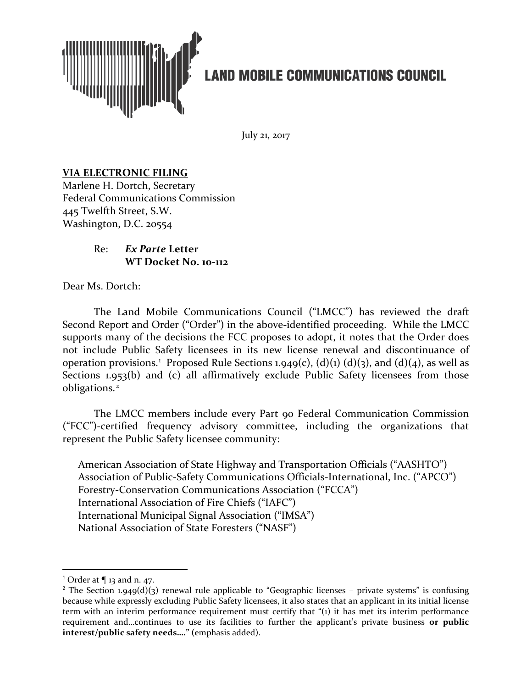

July 21, 2017

**VIA ELECTRONIC FILING**

Marlene H. Dortch, Secretary Federal Communications Commission 445 Twelfth Street, S.W. Washington, D.C. 20554

# Re: *Ex Parte* **Letter WT Docket No. 10-112**

Dear Ms. Dortch:

The Land Mobile Communications Council ("LMCC") has reviewed the draft Second Report and Order ("Order") in the above-identified proceeding. While the LMCC supports many of the decisions the FCC proposes to adopt, it notes that the Order does not include Public Safety licensees in its new license renewal and discontinuance of operation provisions.<sup>[1](#page-0-0)</sup> Proposed Rule Sections 1.949(c), (d)(1) (d)(3), and (d)(4), as well as Sections 1.953(b) and (c) all affirmatively exclude Public Safety licensees from those obligations.<sup>[2](#page-0-1)</sup>

The LMCC members include every Part 90 Federal Communication Commission ("FCC")-certified frequency advisory committee, including the organizations that represent the Public Safety licensee community:

American Association of State Highway and Transportation Officials ("AASHTO") Association of Public-Safety Communications Officials-International, Inc. ("APCO") Forestry-Conservation Communications Association ("FCCA") International Association of Fire Chiefs ("IAFC") International Municipal Signal Association ("IMSA") National Association of State Foresters ("NASF")

<span id="page-0-1"></span><span id="page-0-0"></span><sup>&</sup>lt;sup>1</sup> Order at  $\P$  13 and n. 47.<br><sup>2</sup> The Section 1.949(d)(3) renewal rule applicable to "Geographic licenses – private systems" is confusing because while expressly excluding Public Safety licensees, it also states that an applicant in its initial license term with an interim performance requirement must certify that "(1) it has met its interim performance requirement and…continues to use its facilities to further the applicant's private business **or public interest/public safety needs…." (**emphasis added).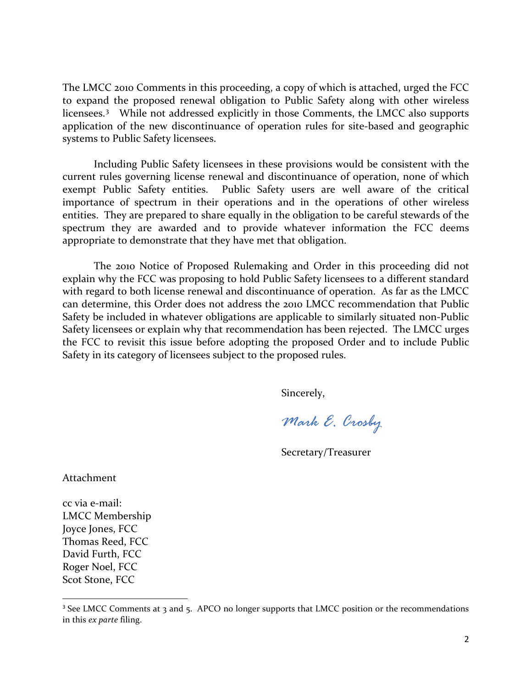The LMCC 2010 Comments in this proceeding, a copy of which is attached, urged the FCC to expand the proposed renewal obligation to Public Safety along with other wireless licensees.[3](#page-1-0) While not addressed explicitly in those Comments, the LMCC also supports application of the new discontinuance of operation rules for site-based and geographic systems to Public Safety licensees.

Including Public Safety licensees in these provisions would be consistent with the current rules governing license renewal and discontinuance of operation, none of which exempt Public Safety entities. Public Safety users are well aware of the critical importance of spectrum in their operations and in the operations of other wireless entities. They are prepared to share equally in the obligation to be careful stewards of the spectrum they are awarded and to provide whatever information the FCC deems appropriate to demonstrate that they have met that obligation.

The 2010 Notice of Proposed Rulemaking and Order in this proceeding did not explain why the FCC was proposing to hold Public Safety licensees to a different standard with regard to both license renewal and discontinuance of operation. As far as the LMCC can determine, this Order does not address the 2010 LMCC recommendation that Public Safety be included in whatever obligations are applicable to similarly situated non-Public Safety licensees or explain why that recommendation has been rejected. The LMCC urges the FCC to revisit this issue before adopting the proposed Order and to include Public Safety in its category of licensees subject to the proposed rules.

Sincerely,

*Mark E. Crosby*

Secretary/Treasurer

Attachment

cc via e-mail: LMCC Membership Joyce Jones, FCC Thomas Reed, FCC David Furth, FCC Roger Noel, FCC Scot Stone, FCC

<span id="page-1-0"></span><sup>&</sup>lt;sup>3</sup> See LMCC Comments at 3 and 5. APCO no longer supports that LMCC position or the recommendations in this *ex parte* filing.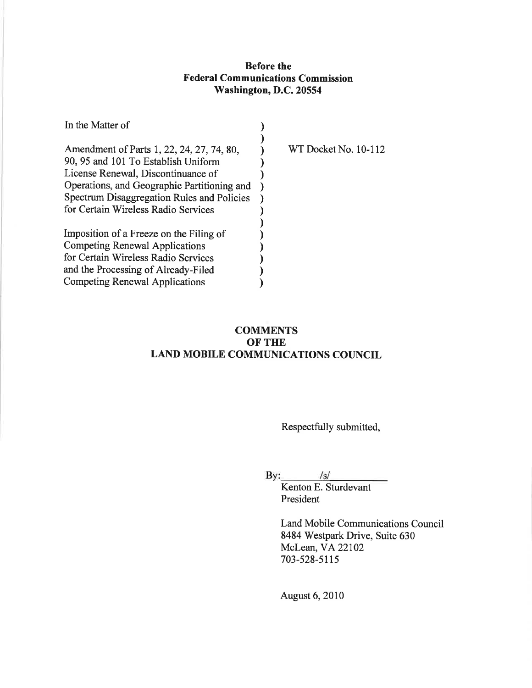### Before the Federal Communications Commission Washington, D.C. 20554

| In the Matter of                            |                      |
|---------------------------------------------|----------------------|
|                                             |                      |
| Amendment of Parts 1, 22, 24, 27, 74, 80,   | WT Docket No. 10-112 |
| 90, 95 and 101 To Establish Uniform         |                      |
| License Renewal, Discontinuance of          |                      |
| Operations, and Geographic Partitioning and |                      |
| Spectrum Disaggregation Rules and Policies  |                      |
| for Certain Wireless Radio Services         |                      |
|                                             |                      |
| Imposition of a Freeze on the Filing of     |                      |
| <b>Competing Renewal Applications</b>       |                      |
| for Certain Wireless Radio Services         |                      |
| and the Processing of Already-Filed         |                      |
| <b>Competing Renewal Applications</b>       |                      |
|                                             |                      |

## **COMMENTS** OF THE LAND MOBILE COMMUNICATIONS COUNCIL

Respectfully submitted,

 $\text{By:}\qquad \qquad \frac{1}{\sqrt{S}}$ 

Kenton E. Sturdevant President

Land Mobile Communications Council 8484 Westpark Drive, Suite 630 Mclean, VA22l02 703-528-5115

August 6,2010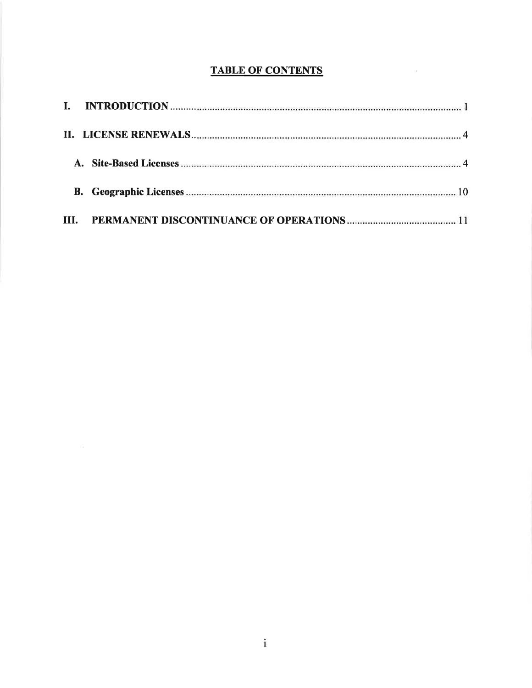# TABLE OF CONTENTS

 $\frac{d\mathcal{A}}{d\mathcal{A}} = \frac{d\mathcal{A}}{d\mathcal{A}}$ 

| III. |  |
|------|--|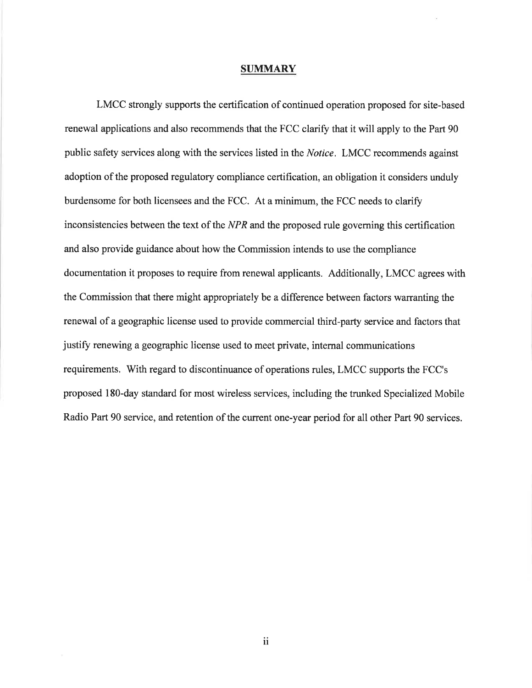#### **SUMMARY**

LMCC strongly supports the certification of continued operation proposed for site-based renewal applications and also recommends that the FCC clarify that it will apply to the Part 90 public safety services along with the services listed in the Notice. LMCC recommends against adoption of the proposed regulatory compliance certification, an obligation it considers unduly burdensome for both licensees and the FCC. At a minimum, the FCC needs to clarify inconsistencies between the text of the  $NPR$  and the proposed rule governing this certification and also provide guidance about how the Commission intends to use the compliance documentation it proposes to require from renewal applicants. Additionally, LMCC agrees with the Commission that there might appropriately be a difference between factors warranting the renewal of a geographic license used to provide commercial third-party service and factors that justify renewing a geographic license used to meet private, internal communications requirements. 'With regard to discontinuance of operations rules, LMCC supports the FCC's proposed 180-day standard for most wireless services, including the trunked Specialized Mobile Radio Part 90 service, and retention of the current one-year period for all other Part 90 services.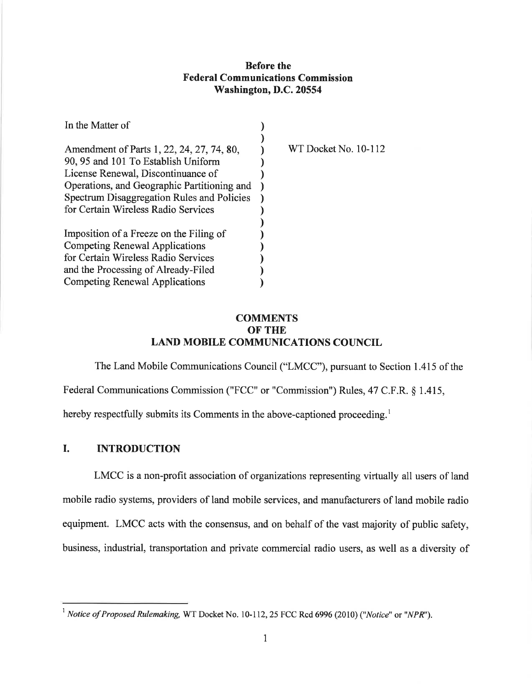### Before the Federal Communications Commission \ilashington, D.C. 20554

| In the Matter of                            |                      |
|---------------------------------------------|----------------------|
| Amendment of Parts 1, 22, 24, 27, 74, 80,   | WT Docket No. 10-112 |
| 90, 95 and 101 To Establish Uniform         |                      |
| License Renewal, Discontinuance of          |                      |
| Operations, and Geographic Partitioning and |                      |
| Spectrum Disaggregation Rules and Policies  |                      |
| for Certain Wireless Radio Services         |                      |
|                                             |                      |
| Imposition of a Freeze on the Filing of     |                      |
| <b>Competing Renewal Applications</b>       |                      |
| for Certain Wireless Radio Services         |                      |
| and the Processing of Already-Filed         |                      |
| <b>Competing Renewal Applications</b>       |                      |

## **COMMENTS** OF THE LAND MOBILE COMMUNICATIONS COUNCIL

The Land Mobile Communications Council ("LMCC"), pursuant to Section 1.415 of the Federal Communications Commission ("FCC" or "Commission") Rules,47 C.F.R. \$ 1.415, hereby respectfully submits its Comments in the above-captioned proceeding.<sup>1</sup>

## I. INTRODUCTION

LMCC is a non-profit association of organizations representing virtually all users of land mobile radio systems, providers of land mobile services, and manufacturers of land mobile radio equipment. LMCC acts with the consensus, and on behalf of the vast majority of public safety, business, industrial, transportation and private commercial radio users, as well as a diversity of

<sup>&</sup>lt;sup>1</sup> Notice of Proposed Rulemaking, WT Docket No. 10-112, 25 FCC Rcd 6996 (2010) ("Notice" or "NPR").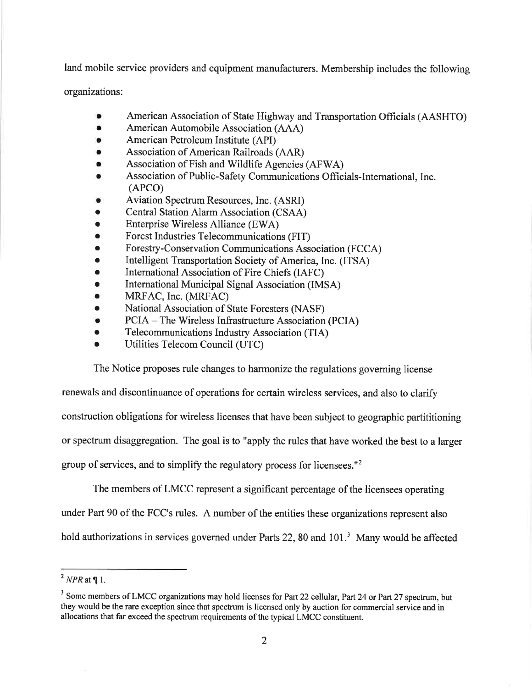land mobile service providers and equipment manufacturers. Membership includes the following

organizations:

- American Association of State Highway and Transportation Officials (AASHTO) ٠
- $\bullet$ American Automobile Association (AAA)
- American Petroleum Institute (API)
- Association of American Railroads (AAR)
- Association of Fish and Wildlife Agencies (AFWA)
- Association of Public-Safety Communications Officials-International, Inc. (APCO)
- Aviation Spectrum Resources, Inc. (ASRI) a
- Central Station Alarm Association (CSAA) a
- Enterprise Wireless Alliance (EWA) a
- Forest Industries Telecommunications (FIT) a
- Forestry-Conservation Communications Association (FCCA) a
- Intelligent Transportation Society of America, Inc. (ITSA) a
- International Association of Fire Chiefs (IAFC) a
- International Municipal Signal Association (IMSA) a
- MRFAC, Inc. (MRFAC) a
- National Association of State Foresters (NASF) a
- PCIA The Wireless Infrastructure Association (PCIA) a
- Telecommunications Industry Association (TIA) a
- Utilities Telecom Council (UTC) a

The Notice proposes rule changes to harmonize the regulations governing license

renewals and discontinuance of operations for certain wireless services, and also to clarify construction obligations for wireless licenses that have been subject to geographic partititioning or spectrum disaggregation. The goal is to "apply the rules that have worked the best to a larger group of services, and to simplify the regulatory process for licensees."<sup>2</sup>

The members of LMCC represent a significant percentage of the licensees operating

under Part 90 of the FCC's rules. A number of the entities these organizations represent also

hold authorizations in services governed under Parts 22, 80 and 101.<sup>3</sup> Many would be affected

<sup>&</sup>lt;sup>2</sup> NPR at  $\P$ 1.

<sup>&</sup>lt;sup>3</sup> Some members of LMCC organizations may hold licenses for Part 22 cellular, Part 24 or Part 27 spectrum, but they would be the rare exception since that spectrum is licensed only by auction for commercial service and in allocations that far exceed the spectrum requirements of the typical LMCC constituent.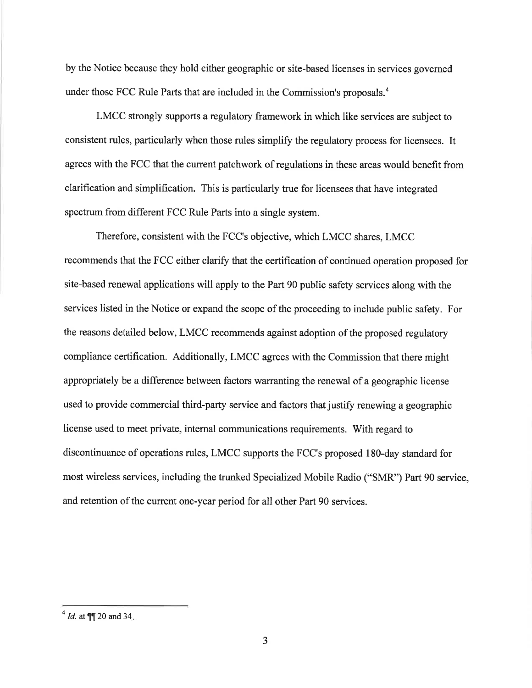by the Notice because they hold either geographic or site-based licenses in services governed under those FCC Rule Parts that are included in the Commission's proposals.<sup>4</sup>

LMCC strongly supports a regulatory framework in which like services are subject to consistent rules, particularly when those rules simplifr the regulatory process for licensees. It agrees with the FCC that the current patchwork of regulations in these areas would benefit from clarihcation and simplification. This is particularly true for licensees that have integrated spectrum from different FCC Rule Parts into a single system.

Therefore, consistent with the FCC's objective, which LMCC shares, LMCC recommends that the FCC either clarify that the certification of continued operation proposed for site-based renewal applications will apply to the Part 90 public safety services along with the services listed in the Notice or expand the scope of the proceeding to include public safety. For the reasons detailed below, LMCC recommends against adoption of the proposed regulatory compliance certification. Additionally, LMCC agrees with the Commission that there might appropriately be a difference between factors warranting the renewal of a geographic license used to provide commercial third-party service and factors that justify renewing a geographic license used to meet private, internal communications requirements. With regard to discontinuance of operations rules, LMCC supports the FCC's proposed 180-day standard for most wireless services, including the trunked Specialized Mobile Radio ("SMR") Part 90 service, and retention of the current one-year period for all other Part 90 services.

 $4$  *Id.* at  $\P$  20 and 34.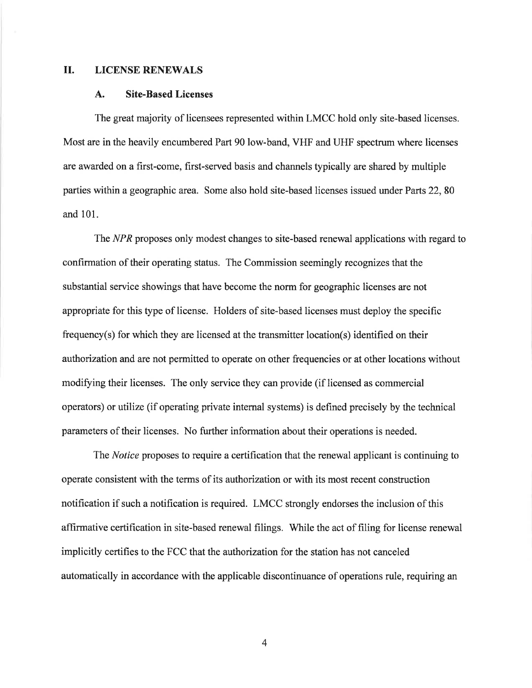#### II. LICENSE RENEWALS

#### A. Site-Based Licenses

The great majority of licensees represented within LMCC hold only site-based licenses. Most are in the heavily encumbered Part 90 low-band, VHF and UHF spectrum where licenses are awarded on a first-come, first-served basis and channels typically are shared by multiple parties within a geographic area. Some also hold site-based licenses issued under Parts 22,80 and 101.

The NPR proposes only modest changes to site-based renewal applications with regard to confirmation of their operating status. The Commission seemingly recognizes that the substantial service showings that have become the norm for geographic licenses are not appropriate for this type of license. Holders of site-based licenses must deploy the specific frequency(s) for which they are licensed at the transmitter location(s) identified on their authorization and are not permitted to operate on other frequencies or at other locations without modifying their licenses. The only service they can provide (if licensed as commercial operators) or utilize (if operating private internal systems) is defined precisely by the technical parameters of their licenses. No further information about their operations is needed.

The Notice proposes to require a certification that the renewal applicant is continuing to operate consistent with the terms of its authoization or with its most recent construction notification if such a notification is required. LMCC strongly endorses the inclusion of this affirmative certification in site-based renewal filings. While the act of filing for license renewal implicitly certifies to the FCC that the authorization for the station has not canceled automatically in accordance with the applicable discontinuance of operations rule, requiring an

4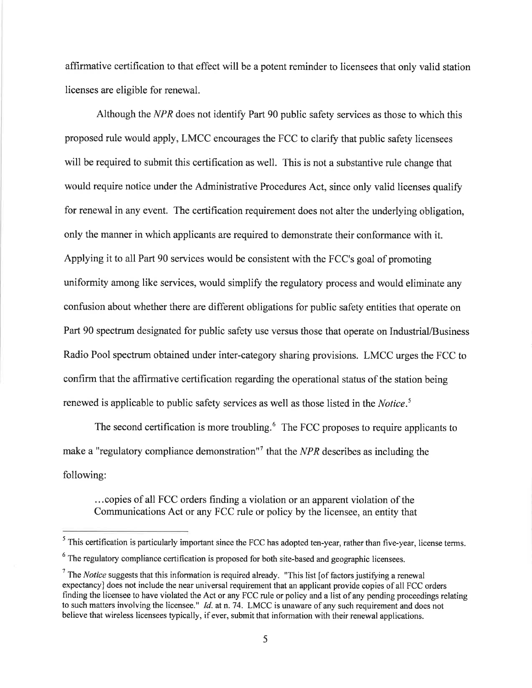affirmative certification to that effect will be a potent reminder to licensees that only valid station licenses are eligible for renewal.

Although the NPR does not identify Part 90 public safety services as those to which this proposed rule would apply, LMCC encourages the FCC to clariff that public safety licensees will be required to submit this certification as well. This is not a substantive rule change that would require notice under the Administrative Procedures Act, since only valid licenses qualify for renewal in any event. The certification requirement does not alter the underlying obligation, only the manner in which applicants are required to demonstrate their conformance with it. Applying it to all Part 90 services would be consistent with the FCC's goal of promoting uniformity among like services, would simplify the regulatory process and would eliminate any confusion about whether there are different obligations for public safety entities that operate on Part 90 spectrum designated for public safety use versus those that operate on Industrial/Business Radio Pool spectrum obtained under inter-category sharing provisions. LMCC urges the FCC to confirm that the affirmative certification regarding the operational status of the station being renewed is applicable to public safety services as well as those listed in the Notice.<sup>5</sup>

The second certification is more troubling.<sup>6</sup> The FCC proposes to require applicants to make a "regulatory compliance demonstration"<sup>7</sup> that the NPR describes as including the following:

...copies of all FCC orders finding a violation or an apparent violation of the Communications Act or any FCC rule or policy by the licensee, an entity that

 $<sup>5</sup>$  This certification is particularly important since the FCC has adopted ten-year, rather than five-year, license terms.</sup>

 $6$  The regulatory compliance certification is proposed for both site-based and geographic licensees.

 $\alpha$  The *Notice* suggests that this information is required already. "This list [of factors justifying a renewal expectancy] does not include the near universal requirement that an applicant provide copies of all FCC orders finding the licensee to have violated the Act or any FCC rule or policy and a list of any pending proceedings relating to such matters involving the licensee." *Id.* at n.74. LMCC is unaware of any such requirement and does not believe that wireless licensees typically, if ever, submit that information with their renewal applications.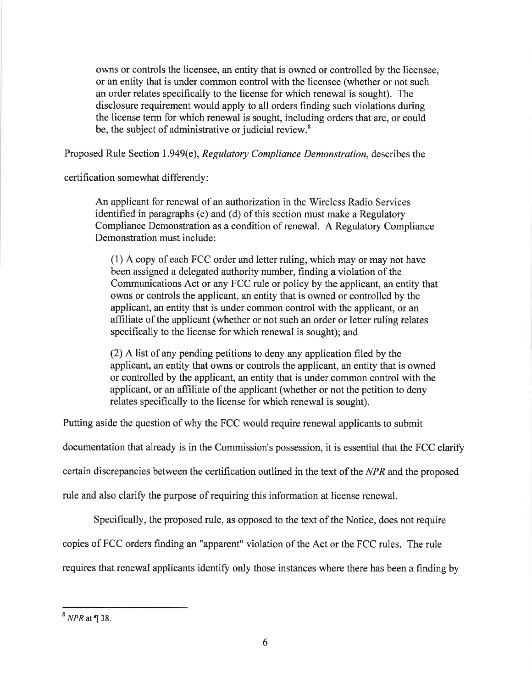owns or controls the licensee, an entity that is owned or controlled by the licensee, or an entity that is under common control with the licensee (whether or not such an order relates specihcally to the license for which renewal is sought). The disclosure requirement would apply to all orders finding such violations during the license term for which renewal is sought, including orders that are, or could be, the subject of administrative or judicial review. $s$ 

Proposed Rule Section 1.949(e), Regulatory Compliance Demonstration, describes the

certification somewhat differently :

An applicant for renewal of an authorization in the Wireless Radio Services identified in paragraphs (c) and (d) of this section must make a Regulatory Compliance Demonstration as a condition of renewal. A Regulatory Compliance Demonstration must include :

(l) A copy of each FCC order and letter ruling, which may or may not have been assigned a delegated authority number, finding a violation of the Communications Act or any FCC rule or policy by the applicant, an entity that owns or controls the applicant, an entity that is owned or controlled by the applicant, an entity that is under common control with the applicant, or an affiliate of the applicant (whether or not such an order or letter ruling relates specifically to the license for which renewal is sought); and

(2) A list of any pending petitions to deny any application filed by the applicant, an entity that owns or controls the applicant, an entity that is owned or controlled by the applicant, an entity that is under common control with the applicant, or an affiliate of the applicant (whether or not the petition to deny relates specifically to the license for which renewal is sought).

Putting aside the question of why the FCC would require renewal applicants to submit

documentation that already is in the Commission's possession, it is essential that the FCC clarifu

certain discrepancies between the certification outlined in the text of the  $NPR$  and the proposed

rule and also clarify the purpose of requiring this information at license renewal.

Specifically, the proposed rule, as opposed to the text of the Notice, does not require

copies of FCC orders finding an "apparent" violation of the Act or the FCC rules. The rule

requires that renewal applicants identify only those instances where there has been a finding by

 $8$  NPR at  $\P$  38.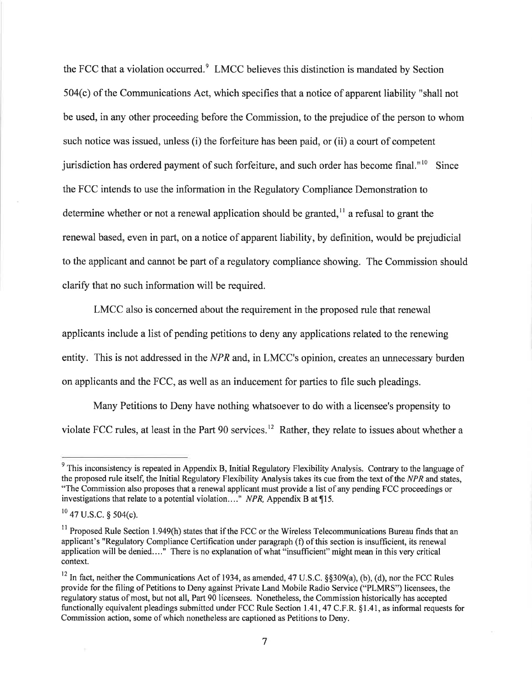the FCC that a violation occurred.<sup>9</sup> LMCC believes this distinction is mandated by Section 504(c) of the Communications Act, which specifies that a notice of apparent liability "shall not be used, in any other proceeding before the Commission, to the prejudice of the person to whom such notice was issued, unless (i) the forfeiture has been paid, or (ii) a court of competent jurisdiction has ordered payment of such forfeiture, and such order has become final." $10^{\circ}$  Since the FCC intends to use the information in the Regulatory Compliance Demonstration to determine whether or not a renewal application should be granted,  $\frac{1}{1}$  a refusal to grant the renewal based, even in part, on a notice of apparent liability, by definition, would be prejudicial to the applicant and cannot be part of a regulatory compliance showing. The Commission should clarify that no such information will be required.

LMCC also is concerned about the requirement in the proposed rule that renewal applicants include a list of pending petitions to deny any applications related to the renewing entity. This is not addressed in the NPR and, in LMCC's opinion, creates an unnecessary burden on applicants and the FCC, as well as an inducement for parties to file such pleadings.

Many Petitions to Deny have nothing whatsoever to do with a licensee's propensity to violate FCC rules, at least in the Part 90 services.<sup>12</sup> Rather, they relate to issues about whether a

 $<sup>9</sup>$  This inconsistency is repeated in Appendix B, Initial Regulatory Flexibility Analysis. Contrary to the language of</sup> the proposed rule itself, the Initial Regulatory Flexibility Analysis takes its cue from the text of the NPR and states, "The Commission also proposes that a renewal applicant must provide a list of any pending FCC proceedings or investigations that relate to a potential violation...."  $NPR$ , Appendix B at [15.

 $10$  47 U.S.C. § 504(c).

 $11$  Proposed Rule Section 1.949(h) states that if the FCC or the Wireless Telecommunications Bureau finds that an applicant's "Regulatory Compliance Certification under paragraph (f) of this section is insufficient, its renewal application will be denied...." There is no explanation of what "insufficient" might mean in this very critical context.

<sup>&</sup>lt;sup>12</sup> In fact, neither the Communications Act of 1934, as amended, 47 U.S.C. §§309(a), (b), (d), nor the FCC Rules provide for the fìling of Petitions to Deny against Private Land Mobile Radio Service ("PLMRS") licensees, the regulatory status of most, but not all, Part 90 licensees. Nonetheless, the Commission historically has accepted functionally equivalent pleadings submitted under FCC Rule Section 1.41,47 C.F.R. \$1.41, as informal requests for Commission action, some of which nonetheless are captioned as Petitions to Deny.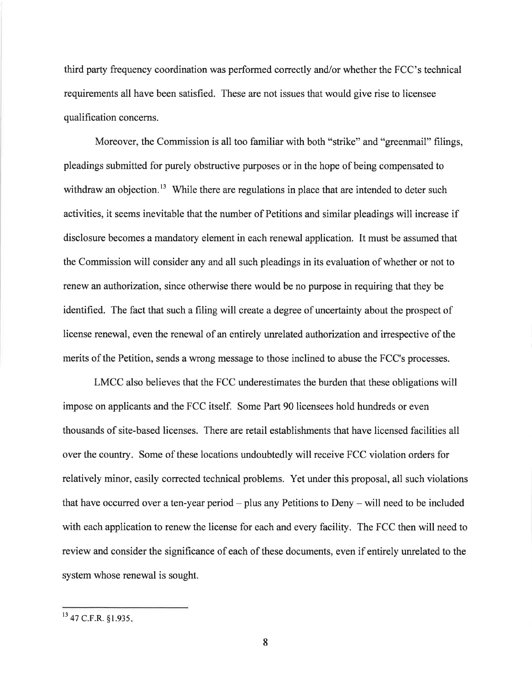third party frequency coordination was performed correctly and/or whether the FCC's technical requirements all have been satisfied. These are not issues that would give rise to licensee qualification concerns.

Moreover, the Commission is all too familiar with both "strike" and "greenmail" filings, pleadings submitted for purely obstructive purposes or in the hope of being compensated to withdraw an objection.<sup>13</sup> While there are regulations in place that are intended to deter such activities, it seems inevitable that the number of Petitions and similar pleadings will increase if disclosure becomes a mandatory element in each renewal application. It must be assumed that the Commission will consider any and all such pleadings in its evaluation of whether or not to renew an authorization, since otherwise there would be no purpose in requiring that they be identified. The fact that such a filing will create a degree of uncertainty about the prospect of license renewal, even the renewal of an entirely unrelated authorization and irrespective of the merits of the Petition, sends a wrong message to those inclined to abuse the FCC's processes.

LMCC also believes that the FCC underestimates the burden that these obligations will impose on applicants and the FCC itself. Some Part 90 licensees hold hundreds or even thousands of site-based licenses. There are retail establishments that have licensed facilities all over the country. Some of these locations undoubtedly will receive FCC violation orders for relatively minor, easily corrected technical problems. Yet under this proposal, all such violations that have occurred over a ten-year period  $-$  plus any Petitions to Deny  $-$  will need to be included with each application to renew the license for each and every facility. The FCC then will need to review and consider the significance of each of these documents, even if entirely unrelated to the system whose renewal is sought.

<sup>&</sup>lt;sup>13</sup> 47 C.F.R. §1.935.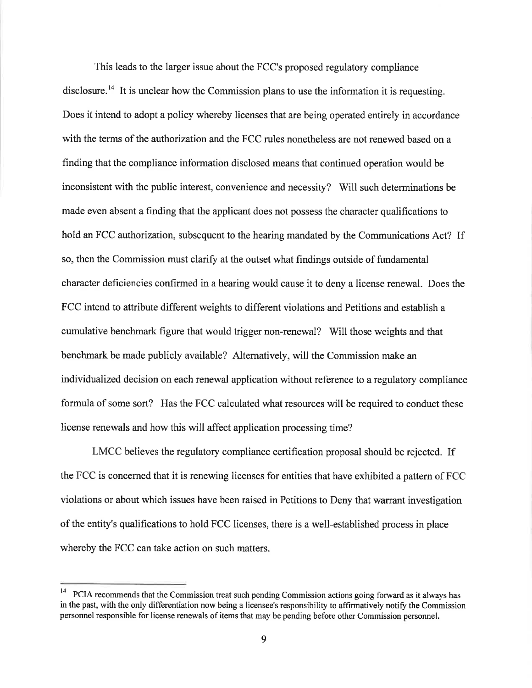This leads to the larger issue about the FCC's proposed regulatory compliance disclosure.<sup>14</sup> It is unclear how the Commission plans to use the information it is requesting. Does it intend to adopt a policy whereby licenses that are being operated entirely in accordance with the terms of the authorization and the FCC rules nonetheless are not renewed based on a finding that the compliance information disclosed means that continued operation would be inconsistent with the public interest, convenience and necessity? Will such determinations be made even absent a finding that the applicant does not possess the character qualifications to hold an FCC authorization, subsequent to the hearing mandated by the Communications Act? If so, then the Commission must clarify at the outset what findings outside of fundamental character deficiencies confirmed in a hearing would cause it to deny a license renewal. Does the FCC intend to attribute different weights to different violations and Petitions and establish a cumulative benchmark figure that would trigger non-renewal? Will those weights and that benchmark be made publicly available? Alternatively, will the Commission make an individualized decision on each renewal application without reference to a regulatory compliance formula of some sort? Has the FCC calculated what resources will be required to conduct these license renewals and how this will affect application processing time?

LMCC believes the regulatory compliance certification proposal should be rejected. If the FCC is concerned that it is renewing licenses for entities that have exhibited a pattern of FCC violations or about which issues have been raised in Petitions to Deny that warrant investigation of the entity's qualifications to hold FCC licenses, there is a well-established process in place whereby the FCC can take action on such matters.

 $14$  PCIA recommends that the Commission treat such pending Commission actions going forward as it always has in the past, with the only differentiation now being a licensee's responsibility to affirmatively notify the Commission personnel responsible for license renewals of items that may be pending before other Commission personnel.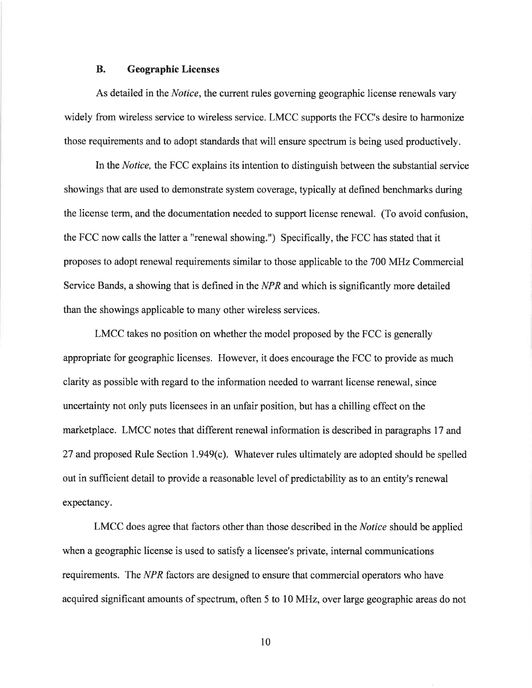#### B. Geographic Licenses

As detailed in the Notice, the current rules governing geographic license renewals vary widely from wireless service to wireless service. LMCC supports the FCC's desire to harmonize those requirements and to adopt standards that will ensure spectrum is being used productively.

In the Notice, the FCC explains its intention to distinguish between the substantial service showings that are used to demonstrate system coverage, typically at defined benchmarks during the license term, and the documentation needed to support license renewal. (To avoid confusion, the FCC now calls the latter a "renewal showing.") Specifically, the FCC has stated that it proposes to adopt renewal requirements similar to those applicable to the 700 MHz Commercial Service Bands, a showing that is defined in the NPR and which is significantly more detailed than the showings applicable to many other wireless services.

LMCC takes no position on whether the model proposed by the FCC is generally appropriate for geographic licenses. However, it does encourage the FCC to provide as much clarity as possible with regard to the information needed to warrant license renewal, since uncertainty not only puts licensees in an unfair position, but has a chilling effect on the marketplace. LMCC notes that different renewal information is described in paragraphs 17 and 27 and proposed Rule Section 1.949(c). Whatever rules ultimately are adopted should be spelled out in sufficient detail to provide a reasonable level of predictability as to an entity's renewal expectancy.

LMCC does agree that factors other than those described in the Notice should be applied when a geographic license is used to satisfy a licensee's private, internal communications requirements. The NPR factors are designed to ensure that commercial operators who have acquired significant amounts of spectrum, often 5 to l0 MHz, over large geographic areas do not

10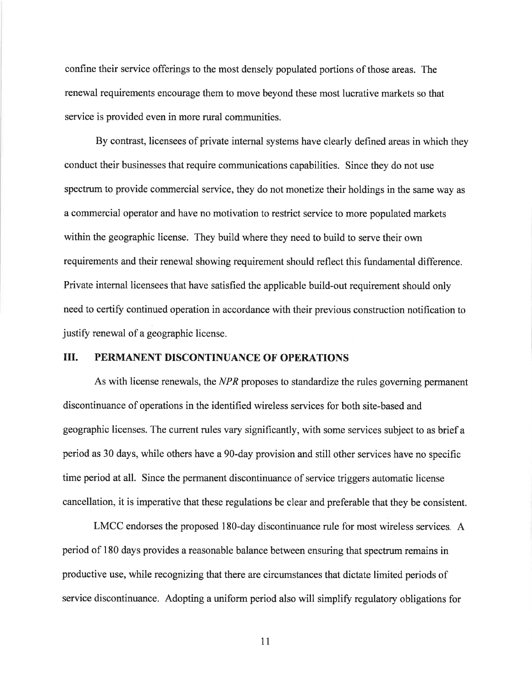confine their service offerings to the most densely populated portions of those areas. The renewal requirements encourage them to move beyond these most lucrative markets so that service is provided even in more rural communities.

By contrast, licensees of private internal systems have clearly defined areas in which they conduct their businesses that require communications capabilities. Since they do not use spectrum to provide commercial service, they do not monetize their holdings in the same way as a commercial operator and have no motivation to restrict service to more populated markets within the geographic license. They build where they need to build to serve their own requirements and their renewal showing requirement should reflect this fundamental difference. Private internal licensees that have satisfied the applicable build-out requirement should only need to certify continued operation in accordance with their previous construction notification to justify renewal of a geographic license.

#### III. PERMANENT DISCONTINUANCE OF OPERATIONS

As with license renewals, the NPR proposes to standardize the rules governing permanent discontinuance of operations in the identified wireless services for both site-based and geographic licenses. The current rules vary significantly, with some services subject to as brief a period as 30 days, while others have a 90-day provision and still other services have no specific time period at all. Since the permanent discontinuance of service triggers automatic license cancellation, it is imperative that these regulations be clear and preferable that they be consistent.

LMCC endorses the proposed 180-day discontinuance rule for most wireless services. A period of 180 days provides a reasonable balance between ensuring that spectrum remains in productive use, while recognizing that there are circumstances that dictate limited periods of service discontinuance. Adopting a uniform period also will simplifr regulatory obligations for

11